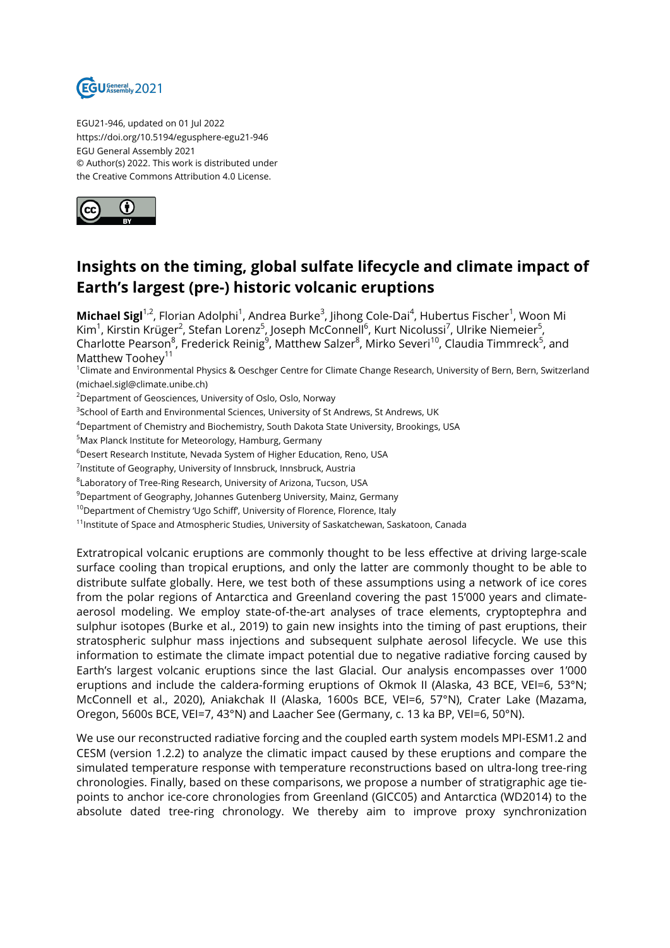

EGU21-946, updated on 01 Jul 2022 https://doi.org/10.5194/egusphere-egu21-946 EGU General Assembly 2021 © Author(s) 2022. This work is distributed under the Creative Commons Attribution 4.0 License.



## **Insights on the timing, global sulfate lifecycle and climate impact of Earth's largest (pre-) historic volcanic eruptions**

**Michael Sigl<sup>1,2</sup>,** Florian Adolphi<sup>1</sup>, Andrea Burke<sup>3</sup>, Jihong Cole-Dai<sup>4</sup>, Hubertus Fischer<sup>1</sup>, Woon Mi Kim<sup>1</sup>, Kirstin Krüger<sup>2</sup>, Stefan Lorenz<sup>5</sup>, Joseph McConnell<sup>6</sup>, Kurt Nicolussi<sup>7</sup>, Ulrike Niemeier<sup>5</sup>, Charlotte Pearson<sup>8</sup>, Frederick Reinig<sup>9</sup>, Matthew Salzer<sup>8</sup>, Mirko Severi<sup>10</sup>, Claudia Timmreck<sup>5</sup>, and Matthew Toohev<sup>11</sup>

<sup>1</sup>Climate and Environmental Physics & Oeschger Centre for Climate Change Research, University of Bern, Bern, Switzerland (michael.sigl@climate.unibe.ch)

<sup>2</sup>Department of Geosciences, University of Oslo, Oslo, Norway

 $^3$ School of Earth and Environmental Sciences, University of St Andrews, St Andrews, UK

<sup>4</sup>Department of Chemistry and Biochemistry, South Dakota State University, Brookings, USA

<sup>5</sup>Max Planck Institute for Meteorology, Hamburg, Germany

<sup>6</sup>Desert Research Institute, Nevada System of Higher Education, Reno, USA

 $^7$ Institute of Geography, University of Innsbruck, Innsbruck, Austria

 $^8$ Laboratory of Tree-Ring Research, University of Arizona, Tucson, USA

<sup>9</sup>Department of Geography, Johannes Gutenberg University, Mainz, Germany

<sup>10</sup>Department of Chemistry 'Ugo Schiff', University of Florence, Florence, Italy

<sup>11</sup>Institute of Space and Atmospheric Studies, University of Saskatchewan, Saskatoon, Canada

Extratropical volcanic eruptions are commonly thought to be less effective at driving large-scale surface cooling than tropical eruptions, and only the latter are commonly thought to be able to distribute sulfate globally. Here, we test both of these assumptions using a network of ice cores from the polar regions of Antarctica and Greenland covering the past 15'000 years and climateaerosol modeling. We employ state-of-the-art analyses of trace elements, cryptoptephra and sulphur isotopes (Burke et al., 2019) to gain new insights into the timing of past eruptions, their stratospheric sulphur mass injections and subsequent sulphate aerosol lifecycle. We use this information to estimate the climate impact potential due to negative radiative forcing caused by Earth's largest volcanic eruptions since the last Glacial. Our analysis encompasses over 1'000 eruptions and include the caldera-forming eruptions of Okmok II (Alaska, 43 BCE, VEI=6, 53°N; McConnell et al., 2020), Aniakchak II (Alaska, 1600s BCE, VEI=6, 57°N), Crater Lake (Mazama, Oregon, 5600s BCE, VEI=7, 43°N) and Laacher See (Germany, c. 13 ka BP, VEI=6, 50°N).

We use our reconstructed radiative forcing and the coupled earth system models MPI-ESM1.2 and CESM (version 1.2.2) to analyze the climatic impact caused by these eruptions and compare the simulated temperature response with temperature reconstructions based on ultra-long tree-ring chronologies. Finally, based on these comparisons, we propose a number of stratigraphic age tiepoints to anchor ice-core chronologies from Greenland (GICC05) and Antarctica (WD2014) to the absolute dated tree-ring chronology. We thereby aim to improve proxy synchronization